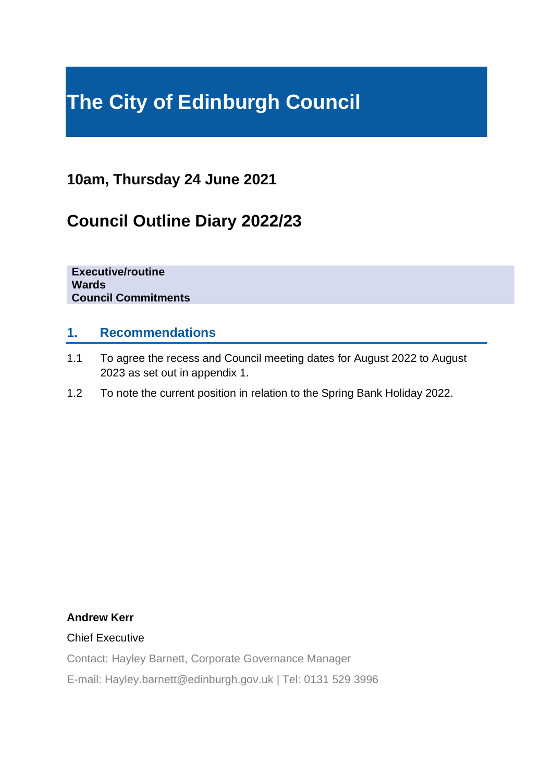# **The City of Edinburgh Council**

# **10am, Thursday 24 June 2021**

# **Council Outline Diary 2022/23**

**Executive/routine Wards Council Commitments**

#### **1. Recommendations**

- 1.1 To agree the recess and Council meeting dates for August 2022 to August 2023 as set out in appendix 1.
- 1.2 To note the current position in relation to the Spring Bank Holiday 2022.

#### **Andrew Kerr**

#### Chief Executive

Contact: Hayley Barnett, Corporate Governance Manager

E-mail: Hayley.barnett@edinburgh.gov.uk | Tel: 0131 529 3996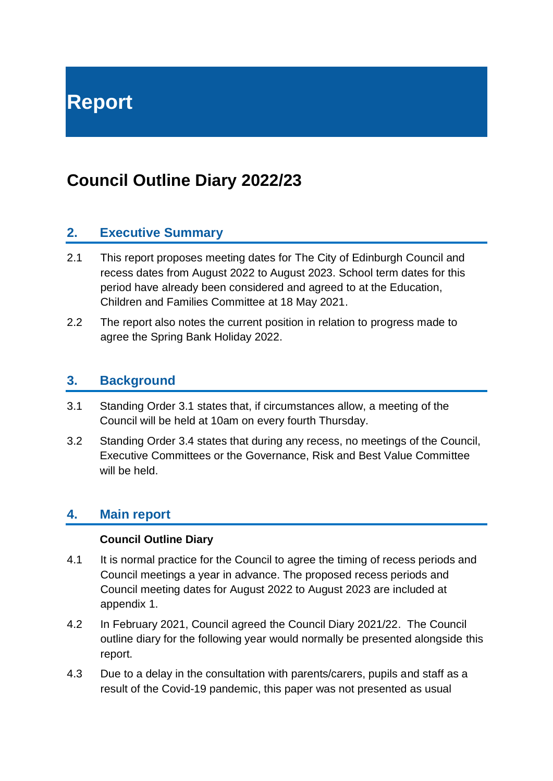# **Council Outline Diary 2022/23**

#### **2. Executive Summary**

- 2.1 This report proposes meeting dates for The City of Edinburgh Council and recess dates from August 2022 to August 2023. School term dates for this period have already been considered and agreed to at the Education, Children and Families Committee at 18 May 2021.
- 2.2 The report also notes the current position in relation to progress made to agree the Spring Bank Holiday 2022.

#### **3. Background**

- 3.1 Standing Order 3.1 states that, if circumstances allow, a meeting of the Council will be held at 10am on every fourth Thursday.
- 3.2 Standing Order 3.4 states that during any recess, no meetings of the Council, Executive Committees or the Governance, Risk and Best Value Committee will be held.

#### **4. Main report**

#### **Council Outline Diary**

- 4.1 It is normal practice for the Council to agree the timing of recess periods and Council meetings a year in advance. The proposed recess periods and Council meeting dates for August 2022 to August 2023 are included at appendix 1.
- 4.2 In February 2021, Council agreed the Council Diary 2021/22. The Council outline diary for the following year would normally be presented alongside this report.
- 4.3 Due to a delay in the consultation with parents/carers, pupils and staff as a result of the Covid-19 pandemic, this paper was not presented as usual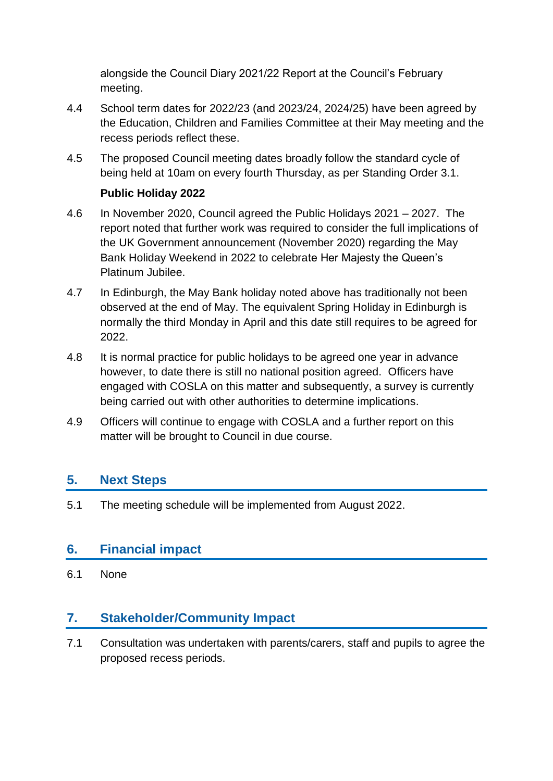alongside the Council Diary 2021/22 Report at the Council's February meeting.

- 4.4 School term dates for 2022/23 (and 2023/24, 2024/25) have been agreed by the Education, Children and Families Committee at their May meeting and the recess periods reflect these.
- 4.5 The proposed Council meeting dates broadly follow the standard cycle of being held at 10am on every fourth Thursday, as per Standing Order 3.1.

#### **Public Holiday 2022**

- 4.6 In November 2020, Council agreed the Public Holidays 2021 2027. The report noted that further work was required to consider the full implications of the UK Government announcement (November 2020) regarding the May Bank Holiday Weekend in 2022 to celebrate Her Majesty the Queen's Platinum Jubilee.
- 4.7 In Edinburgh, the May Bank holiday noted above has traditionally not been observed at the end of May. The equivalent Spring Holiday in Edinburgh is normally the third Monday in April and this date still requires to be agreed for 2022.
- 4.8 It is normal practice for public holidays to be agreed one year in advance however, to date there is still no national position agreed. Officers have engaged with COSLA on this matter and subsequently, a survey is currently being carried out with other authorities to determine implications.
- 4.9 Officers will continue to engage with COSLA and a further report on this matter will be brought to Council in due course.

# **5. Next Steps**

5.1 The meeting schedule will be implemented from August 2022.

# **6. Financial impact**

6.1 None

# **7. Stakeholder/Community Impact**

7.1 Consultation was undertaken with parents/carers, staff and pupils to agree the proposed recess periods.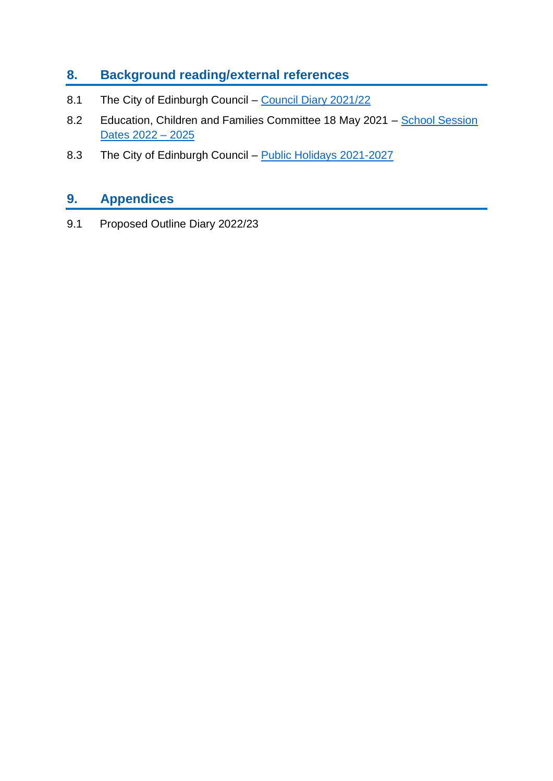# **8. Background reading/external references**

- 8.1 The City of Edinburgh Council [Council Diary 2021/22](https://democracy.edinburgh.gov.uk/documents/s31056/Item%207.3%20-%20Council%20Diary%202021-22.pdf)
- 8.2 Education, Children and Families Committee 18 May 2021 School Session [Dates 2022 –](https://democracy.edinburgh.gov.uk/documents/s33932/7.13%20School%20Session%20Dates%202022%20-%202025.pdf) 2025
- 8.3 The City of Edinburgh Council [Public Holidays](https://democracy.edinburgh.gov.uk/documents/s29135/Item%208.2%20-%20Public%20Holidays%202021-2027%20V2.pdf) 2021-2027

# **9. Appendices**

9.1 Proposed Outline Diary 2022/23